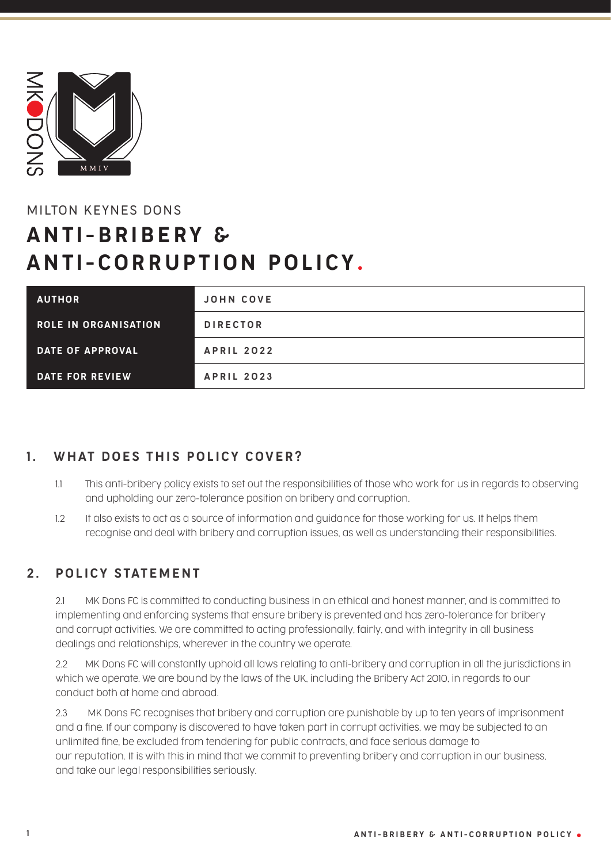

# MILTON KEYNES DONS

# ANTI-BRIBERY & ANTI-CORRUPTION POLICY .

| <b>AUTHOR</b>               | <b>JOHN COVE</b>  |
|-----------------------------|-------------------|
| <b>ROLE IN ORGANISATION</b> | <b>DIRECTOR</b>   |
| <b>DATE OF APPROVAL</b>     | <b>APRIL 2022</b> |
| DATE FOR REVIEW             | <b>APRIL 2023</b> |

# 1. WHAT DOES THIS POLICY COVER?

- 1.1 This anti-bribery policy exists to set out the responsibilities of those who work for us in regards to observing and upholding our zero-tolerance position on bribery and corruption.
- 1.2 It also exists to act as a source of information and guidance for those working for us. It helps them recognise and deal with bribery and corruption issues, as well as understanding their responsibilities.

### 2. POLICY STATEMENT

 2.1 MK Dons FC is committed to conducting business in an ethical and honest manner, and is committed to implementing and enforcing systems that ensure bribery is prevented and has zero-tolerance for bribery and corrupt activities. We are committed to acting professionally, fairly, and with integrity in all business dealings and relationships, wherever in the country we operate.

 2.2 MK Dons FC will constantly uphold all laws relating to anti-bribery and corruption in all the jurisdictions in which we operate. We are bound by the laws of the UK, including the Bribery Act 2010, in regards to our conduct both at home and abroad.

 2.3 MK Dons FC recognises that bribery and corruption are punishable by up to ten years of imprisonment and a fine. If our company is discovered to have taken part in corrupt activities, we may be subjected to an unlimited fine, be excluded from tendering for public contracts, and face serious damage to our reputation. It is with this in mind that we commit to preventing bribery and corruption in our business, and take our legal responsibilities seriously.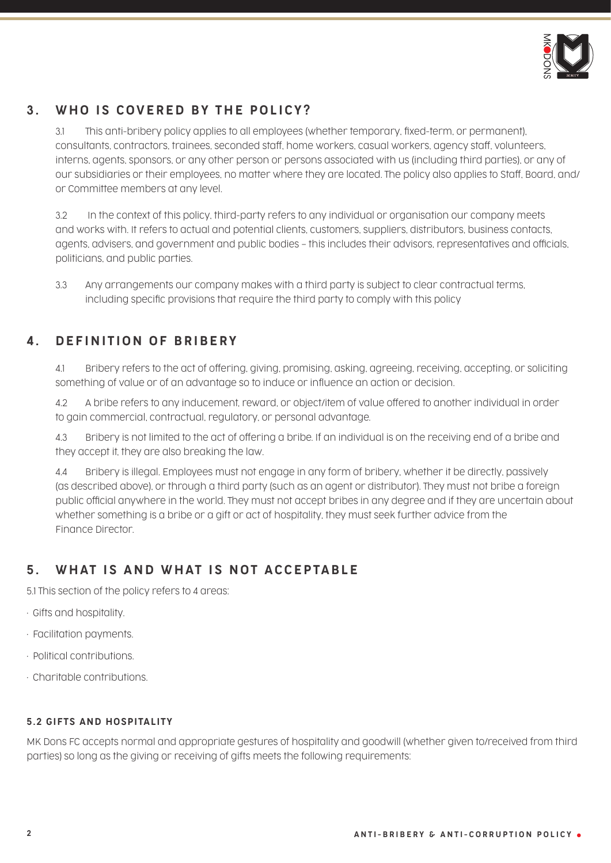

# 3 . WHO IS COVERED BY THE POLICY?

 3.1 This anti-bribery policy applies to all employees (whether temporary, fixed-term, or permanent), consultants, contractors, trainees, seconded staff, home workers, casual workers, agency staff, volunteers, interns, agents, sponsors, or any other person or persons associated with us (including third parties), or any of our subsidiaries or their employees, no matter where they are located. The policy also applies to Staff, Board, and/ or Committee members at any level.

 3.2 In the context of this policy, third-party refers to any individual or organisation our company meets and works with. It refers to actual and potential clients, customers, suppliers, distributors, business contacts, agents, advisers, and government and public bodies – this includes their advisors, representatives and officials, politicians, and public parties.

 3.3 Any arrangements our company makes with a third party is subject to clear contractual terms, including specific provisions that require the third party to comply with this policy

# 4. DEFINITION OF BRIBERY

 4.1 Bribery refers to the act of offering, giving, promising, asking, agreeing, receiving, accepting, or soliciting something of value or of an advantage so to induce or influence an action or decision.

 4.2 A bribe refers to any inducement, reward, or object/item of value offered to another individual in order to gain commercial, contractual, regulatory, or personal advantage.

 4.3 Bribery is not limited to the act of offering a bribe. If an individual is on the receiving end of a bribe and they accept it, they are also breaking the law.

 4.4 Bribery is illegal. Employees must not engage in any form of bribery, whether it be directly, passively (as described above), or through a third party (such as an agent or distributor). They must not bribe a foreign public official anywhere in the world. They must not accept bribes in any degree and if they are uncertain about whether something is a bribe or a gift or act of hospitality, they must seek further advice from the Finance Director.

# 5. WHAT IS AND WHAT IS NOT ACCEPTABLE

5.1 This section of the policy refers to 4 areas:

- Gifts and hospitality.
- Facilitation payments.
- Political contributions.
- Charitable contributions.

#### 5.2 GIFTS AND HOSPITALITY

MK Dons FC accepts normal and appropriate gestures of hospitality and goodwill (whether given to/received from third parties) so long as the giving or receiving of gifts meets the following requirements: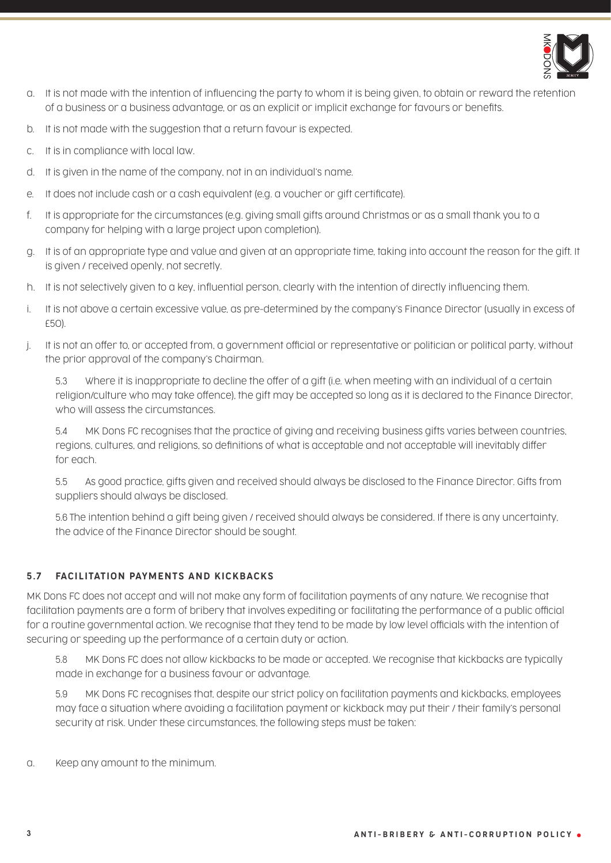

- a. It is not made with the intention of influencing the party to whom it is being given, to obtain or reward the retention of a business or a business advantage, or as an explicit or implicit exchange for favours or benefits.
- b. It is not made with the suggestion that a return favour is expected.
- c. It is in compliance with local law.
- d. It is given in the name of the company, not in an individual's name.
- e. It does not include cash or a cash equivalent (e.g. a voucher or gift certificate).
- f. It is appropriate for the circumstances (e.g. giving small gifts around Christmas or as a small thank you to a company for helping with a large project upon completion).
- g. It is of an appropriate type and value and given at an appropriate time, taking into account the reason for the gift. It is given / received openly, not secretly.
- h. It is not selectively given to a key, influential person, clearly with the intention of directly influencing them.
- i. It is not above a certain excessive value, as pre-determined by the company's Finance Director (usually in excess of £50).
- j. It is not an offer to, or accepted from, a government official or representative or politician or political party, without the prior approval of the company's Chairman.

5.3 Where it is inappropriate to decline the offer of a gift (i.e. when meeting with an individual of a certain religion/culture who may take offence), the gift may be accepted so long as it is declared to the Finance Director, who will assess the circumstances.

5.4 MK Dons FC recognises that the practice of giving and receiving business gifts varies between countries, regions, cultures, and religions, so definitions of what is acceptable and not acceptable will inevitably differ for each.

5.5 As good practice, gifts given and received should always be disclosed to the Finance Director. Gifts from suppliers should always be disclosed.

5.6 The intention behind a gift being given / received should always be considered. If there is any uncertainty, the advice of the Finance Director should be sought.

#### 5.7 FACILITATION PAYMENTS AND KICKBACKS

MK Dons FC does not accept and will not make any form of facilitation payments of any nature. We recognise that facilitation payments are a form of bribery that involves expediting or facilitating the performance of a public official for a routine governmental action. We recognise that they tend to be made by low level officials with the intention of securing or speeding up the performance of a certain duty or action.

 5.8 MK Dons FC does not allow kickbacks to be made or accepted. We recognise that kickbacks are typically made in exchange for a business favour or advantage.

 5.9 MK Dons FC recognises that, despite our strict policy on facilitation payments and kickbacks, employees may face a situation where avoiding a facilitation payment or kickback may put their / their family's personal security at risk. Under these circumstances, the following steps must be taken:

a. Keep any amount to the minimum.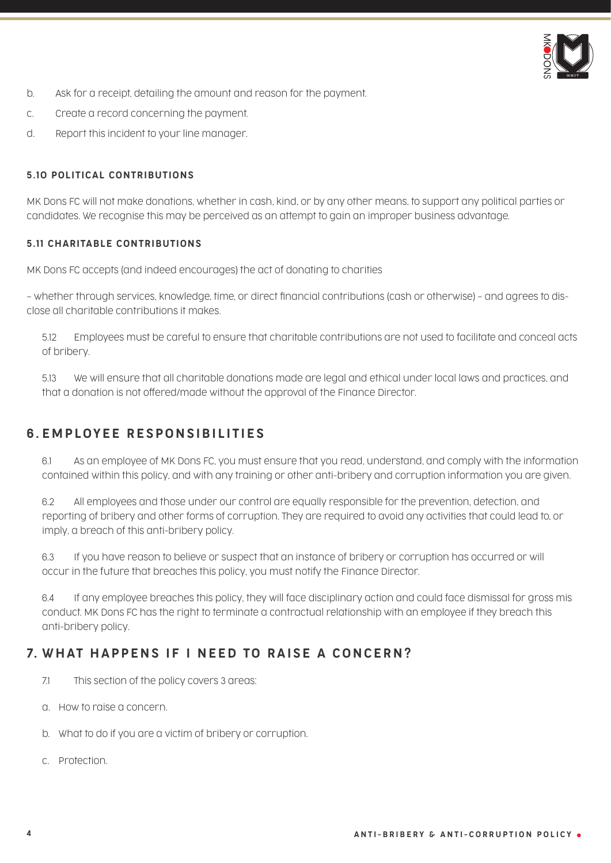

- b. Ask for a receipt, detailing the amount and reason for the payment.
- c. Create a record concerning the payment.
- d. Report this incident to your line manager.

#### 5.10 POLITICAL CONTRIBUTIONS

MK Dons FC will not make donations, whether in cash, kind, or by any other means, to support any political parties or candidates. We recognise this may be perceived as an attempt to gain an improper business advantage.

#### 5.11 CHARITABLE CONTRIBUTIONS

MK Dons FC accepts (and indeed encourages) the act of donating to charities

– whether through services, knowledge, time, or direct financial contributions (cash or otherwise) – and agrees to disclose all charitable contributions it makes.

5.12 Employees must be careful to ensure that charitable contributions are not used to facilitate and conceal acts of bribery.

5.13 We will ensure that all charitable donations made are legal and ethical under local laws and practices, and that a donation is not offered/made without the approval of the Finance Director.

# 6 . EMPLOYEE RESPONSIBILITIES

6.1 As an employee of MK Dons FC, you must ensure that you read, understand, and comply with the information contained within this policy, and with any training or other anti-bribery and corruption information you are given.

6.2 All employees and those under our control are equally responsible for the prevention, detection, and reporting of bribery and other forms of corruption. They are required to avoid any activities that could lead to, or imply, a breach of this anti-bribery policy.

6.3 If you have reason to believe or suspect that an instance of bribery or corruption has occurred or will occur in the future that breaches this policy, you must notify the Finance Director.

6.4 If any employee breaches this policy, they will face disciplinary action and could face dismissal for gross mis conduct. MK Dons FC has the right to terminate a contractual relationship with an employee if they breach this anti-bribery policy.

# 7. WHAT HAPPENS IF I NEED TO RAISE A CONCERN?

- 7.1 This section of the policy covers 3 areas:
- a. How to raise a concern.
- b. What to do if you are a victim of bribery or corruption.
- c. Protection.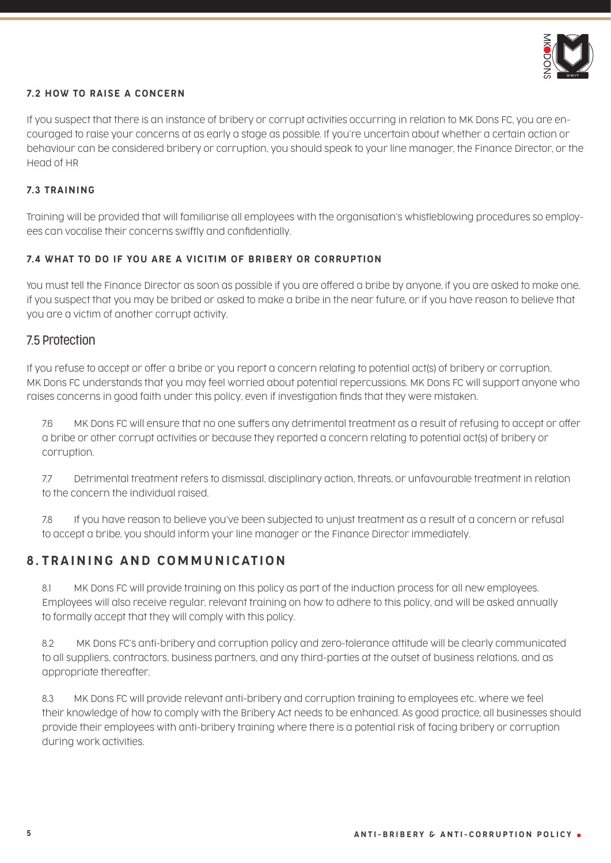

#### 7.2 HOW TO RAISE A CONCERN

If you suspect that there is an instance of bribery or corrupt activities occurring in relation to MK Dons FC, you are encouraged to raise your concerns at as early a stage as possible. If you're uncertain about whether a certain action or behaviour can be considered bribery or corruption, you should speak to your line manager, the Finance Director, or the Head of HR

#### 7.3 TRAINING

Training will be provided that will familiarise all employees with the organisation's whistleblowing procedures so employees can vocalise their concerns swiftly and confidentially.

#### 7.4 WHAT TO DO IF YOU ARE A VICITIM OF BRIBERY OR CORRUPTION

You must tell the Finance Director as soon as possible if you are offered a bribe by anyone, if you are asked to make one, if you suspect that you may be bribed or asked to make a bribe in the near future, or if you have reason to believe that you are a victim of another corrupt activity.

#### 7.5 Protection

If you refuse to accept or offer a bribe or you report a concern relating to potential act(s) of bribery or corruption, MK Dons FC understands that you may feel worried about potential repercussions. MK Dons FC will support anyone who raises concerns in good faith under this policy, even if investigation finds that they were mistaken.

7.6 MK Dons FC will ensure that no one suffers any detrimental treatment as a result of refusing to accept or offer a bribe or other corrupt activities or because they reported a concern relating to potential act(s) of bribery or corruption.

7.7 Detrimental treatment refers to dismissal, disciplinary action, threats, or unfavourable treatment in relation to the concern the individual raised.

7.8 If you have reason to believe you've been subjected to unjust treatment as a result of a concern or refusal to accept a bribe, you should inform your line manager or the Finance Director immediately.

# 8 . TRAINING AND COMMUNICATION

8.1 MK Dons FC will provide training on this policy as part of the induction process for all new employees. Employees will also receive regular, relevant training on how to adhere to this policy, and will be asked annually to formally accept that they will comply with this policy.

8.2 MK Dons FC's anti-bribery and corruption policy and zero-tolerance attitude will be clearly communicated to all suppliers, contractors, business partners, and any third-parties at the outset of business relations, and as appropriate thereafter.

8.3 MK Dons FC will provide relevant anti-bribery and corruption training to employees etc. where we feel their knowledge of how to comply with the Bribery Act needs to be enhanced. As good practice, all businesses should provide their employees with anti-bribery training where there is a potential risk of facing bribery or corruption during work activities.